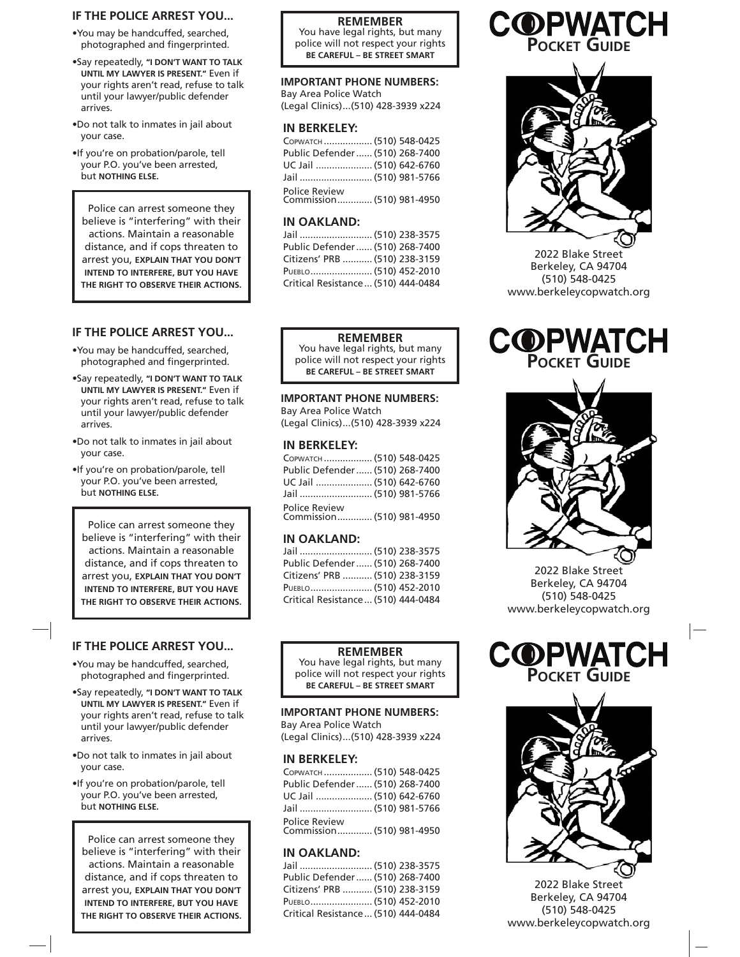# **IF THE POLICE ARREST YOU...**

•You may be handcuffed, searched, photographed and fingerprinted.

- •Say repeatedly, **"I DON'T WANT TO TALK UNTIL MY LAWYER IS PRESENT."** Even if your rights aren't read, refuse to talk until your lawyer/public defender arrives.
- •Do not talk to inmates in jail about your case.
- •If you're on probation/parole, tell your P.O. you've been arrested, but **NOTHING ELSE.**

Police can arrest someone they believe is "interfering" with their actions. Maintain a reasonable distance, and if cops threaten to arrest you, **EXPLAIN THAT YOU DON'T INTEND TO INTERFERE, BUT YOU HAVE THE RIGHT TO OBSERVE THEIR ACTIONS.**

### **REMEMBER**

You have legal rights, but many police will not respect your rights **BE CAREFUL – BE STREET SMART**

### **IMPORTANT PHONE NUMBERS:**

Bay Area Police Watch (Legal Clinics) ...(510) 428-3939 x224

## **IN BERKELEY:**

| Сорматсн  (510) 548-0425                   |  |
|--------------------------------------------|--|
| Public Defender  (510) 268-7400            |  |
| UC Jail  (510) 642-6760                    |  |
| Jail  (510) 981-5766                       |  |
| Police Review<br>Commission (510) 981-4950 |  |

## **IN OAKLAND:**

| Jail  (510) 238-3575                |
|-------------------------------------|
| Public Defender (510) 268-7400      |
| Citizens' PRB  (510) 238-3159       |
| PUEBLO (510) 452-2010               |
| Critical Resistance  (510) 444-0484 |

# **COPWATCH POCKET GUIDE**



2022 Blake Street Berkeley, CA 94704 (510) 548-0425 www.berkeleycopwatch.org